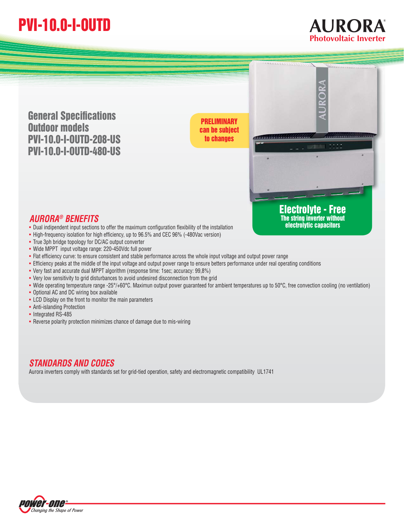## **PVI-10.0-I-OUTD**

**General Specifications Outdoor models PVI-10.0-I-OUTD-208-US PVI-10.0-I-OUTD-480-US**

**can be subject to changes**



**AURORA ® Photovoltaic Inverter**

**electrolytic capacitors**

## *AURORA® BENEFITS* AUNUNA<sup>S</sup> DENEFTI **3**<br>• Dual indipendent input sections to offer the maximum configuration flexibility of the installation

- Dual indipendent input sections to offer the maximum configuration flexibility of the instal<br>• High-frequency isolation for high efficiency, up to 96.5% and CEC 96% (-480Vac version)
- High-trequency isolation for high efficiency, up to 96.<br>• True 3ph bridge topology for DC/AC output converter
- Irue 3ph bridge topology for DC/AC output converter<br>• Wide MPPT input voltage range: 220-450Vdc full power
- Wide MPPT input voltage range: 220-450Vdc full power<br>• Flat efficiency curve: to ensure consistent and stable performance across the whole input voltage and output power range
- Hat efficiency curve: to ensure consistent and stable performance across the whole input voltage and output power range<br>• Efficiency peaks at the middle of the input voltage and output power range to ensure betters perfo
- Efficiency peaks at the middle of the input voltage and output power range to ensure<br>• Very fast and accurate dual MPPT algorithm (response time: 1sec; accuracy: 99,8%)
- Very fast and accurate dual MPPT algorithm (response time: 1sec; accuracy: 99,8%)<br>• Very low sensitivity to grid disturbances to avoid undesired disconnection from the grid
- Very low sensitivity to grid disturbances to avoid undesired disconnection from the grid<br>• Wide operating temperature range -25°/+60°C. Maximun output power guaranteed for ambient temperatures up to 50°C, free convection
- Wide operating temperature range -25°/<br>• Optional AC and DC wiring box available
- Optional AC and DC wiring box available<br>• LCD Display on the front to monitor the main parameters
- LCD Display on the front<br>• Anti-islanding Protection
- Anti-islanding Prof<br>Integrated RS-485
- Integrated RS-485<br>• Reverse polarity protection minimizes chance of damage due to mis-wiring

## *STANDARDS AND CODES*

Aurora inverters comply with standards set for grid-tied operation, safety and electromagnetic compatibility UL1741